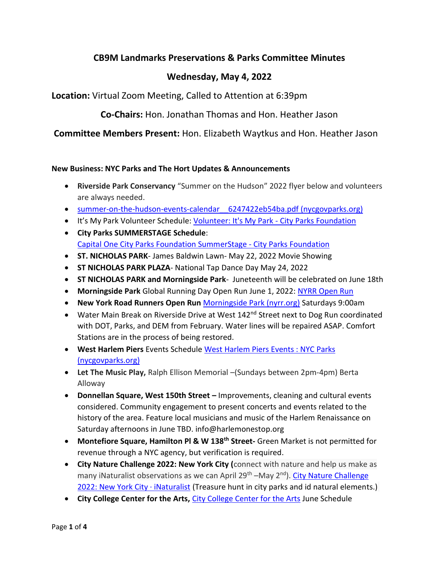# **CB9M Landmarks Preservations & Parks Committee Minutes**

## **Wednesday, May 4, 2022**

**Location:** Virtual Zoom Meeting, Called to Attention at 6:39pm

**Co-Chairs:** Hon. Jonathan Thomas and Hon. Heather Jason

**Committee Members Present:** Hon. Elizabeth Waytkus and Hon. Heather Jason

#### **New Business: NYC Parks and The Hort Updates & Announcements**

- **Riverside Park Conservancy** "Summer on the Hudson" 2022 flyer below and volunteers are always needed.
- summer-on-the-hudson-events-calendar 6247422eb54ba.pdf (nycgovparks.org)
- It's My Park Volunteer Schedule[: Volunteer: It's My Park -](https://cityparksfoundation.org/volunteer-its-my-park/) City Parks Foundation
- **City Parks SUMMERSTAGE Schedule**: [Capital One City Parks Foundation SummerStage -](https://cityparksfoundation.org/summerstage/) City Parks Foundation
- **ST. NICHOLAS PARK** James Baldwin Lawn- May 22, 2022 Movie Showing
- **ST NICHOLAS PARK PLAZA** National Tap Dance Day May 24, 2022
- **ST NICHOLAS PARK and Morningside Park** Juneteenth will be celebrated on June 18th
- **Morningside Park** Global Running Day Open Run June 1, 2022: [NYRR Open Run](https://www.nyrr.org/openrun)
- **New York Road Runners Open Run** [Morningside Park \(nyrr.org\)](https://www.nyrr.org/openrun/parks/morningside-park) Saturdays 9:00am
- Water Main Break on Riverside Drive at West 142<sup>nd</sup> Street next to Dog Run coordinated with DOT, Parks, and DEM from February. Water lines will be repaired ASAP. Comfort Stations are in the process of being restored.
- **West Harlem Piers** Events Schedule [West Harlem Piers Events : NYC Parks](https://www.nycgovparks.org/parks/west-harlem-piers/events)  [\(nycgovparks.org\)](https://www.nycgovparks.org/parks/west-harlem-piers/events)
- **Let The Music Play,** Ralph Ellison Memorial –(Sundays between 2pm-4pm) Berta Alloway
- **Donnellan Square, West 150th Street –** Improvements, cleaning and cultural events considered. Community engagement to present concerts and events related to the history of the area. Feature local musicians and music of the Harlem Renaissance on Saturday afternoons in June TBD. info@harlemonestop.org
- **Montefiore Square, Hamilton Pl & W 138th Street-** Green Market is not permitted for revenue through a NYC agency, but verification is required.
- **City Nature Challenge 2022: New York City (**connect with nature and help us make as many iNaturalist observations as we can April 29<sup>th</sup> –May 2<sup>nd</sup>). City Nature Challenge [2022: New York City · iNaturalist](https://www.inaturalist.org/projects/city-nature-challenge-2022-new-york-city?tab=about) (Treasure hunt in city parks and id natural elements.)
- **City College Center for the Arts,** [City College Center for the Arts](https://citycollegecenterforthearts.org/) June Schedule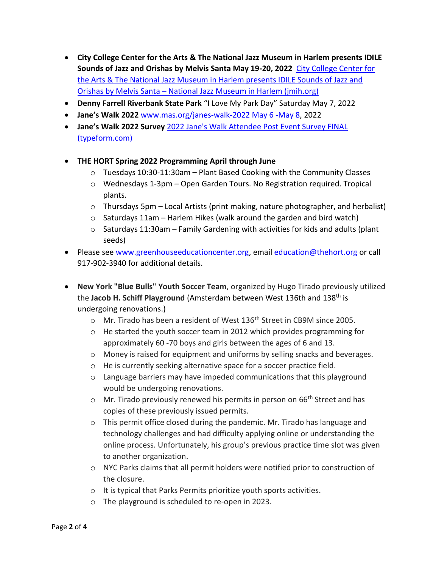- **City College Center for the Arts & The National Jazz Museum in Harlem presents IDILE Sounds of Jazz and Orishas by Melvis Santa May 19-20, 2022** [City College Center for](https://jmih.org/event/city-college-center-for-the-arts-the-national-jazz-museum-in-harlem-presents-idile-sounds-of-jazz-and-orishas-by-melvis-santa/)  [the Arts & The National Jazz Museum in Harlem presents IDILE Sounds of Jazz and](https://jmih.org/event/city-college-center-for-the-arts-the-national-jazz-museum-in-harlem-presents-idile-sounds-of-jazz-and-orishas-by-melvis-santa/)  Orishas by Melvis Santa – [National Jazz Museum in Harlem \(jmih.org\)](https://jmih.org/event/city-college-center-for-the-arts-the-national-jazz-museum-in-harlem-presents-idile-sounds-of-jazz-and-orishas-by-melvis-santa/)
- **Denny Farrell Riverbank State Park** "I Love My Park Day" Saturday May 7, 2022
- **Jane's Walk 2022** [www.mas.org/janes-walk-2022 May 6 -May 8,](http://www.mas.org/janes-walk-2022%20May%206%20-May%208) 2022
- **Jane's Walk 2022 Survey** [2022 Jane's Walk Attendee Post Event Survey FINAL](https://masnyc.typeform.com/to/BzPv2uTT)  [\(typeform.com\)](https://masnyc.typeform.com/to/BzPv2uTT)
- **THE HORT Spring 2022 Programming April through June**
	- $\circ$  Tuesdays 10:30-11:30am Plant Based Cooking with the Community Classes
	- $\circ$  Wednesdays 1-3pm Open Garden Tours. No Registration required. Tropical plants.
	- $\circ$  Thursdays 5pm Local Artists (print making, nature photographer, and herbalist)
	- $\circ$  Saturdays 11am Harlem Hikes (walk around the garden and bird watch)
	- $\circ$  Saturdays 11:30am Family Gardening with activities for kids and adults (plant seeds)
- Please see [www.greenhouseeducationcenter.org,](http://www.greenhouseeducationcenter.org/) email [education@thehort.org](mailto:education@thehort.org) or call 917-902-3940 for additional details.
- **New York "Blue Bulls" Youth Soccer Team**, organized by Hugo Tirado previously utilized the **Jacob H. Schiff Playground** (Amsterdam between West 136th and 138th is undergoing renovations.)
	- $\circ$  Mr. Tirado has been a resident of West 136<sup>th</sup> Street in CB9M since 2005.
	- $\circ$  He started the youth soccer team in 2012 which provides programming for approximately 60 -70 boys and girls between the ages of 6 and 13.
	- o Money is raised for equipment and uniforms by selling snacks and beverages.
	- o He is currently seeking alternative space for a soccer practice field.
	- o Language barriers may have impeded communications that this playground would be undergoing renovations.
	- $\circ$  Mr. Tirado previously renewed his permits in person on 66<sup>th</sup> Street and has copies of these previously issued permits.
	- $\circ$  This permit office closed during the pandemic. Mr. Tirado has language and technology challenges and had difficulty applying online or understanding the online process. Unfortunately, his group's previous practice time slot was given to another organization.
	- o NYC Parks claims that all permit holders were notified prior to construction of the closure.
	- o It is typical that Parks Permits prioritize youth sports activities.
	- o The playground is scheduled to re-open in 2023.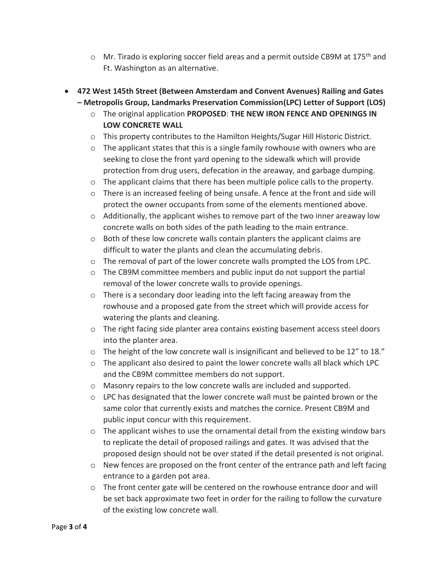- $\circ$  Mr. Tirado is exploring soccer field areas and a permit outside CB9M at 175<sup>th</sup> and Ft. Washington as an alternative.
- **472 West 145th Street (Between Amsterdam and Convent Avenues) Railing and Gates – Metropolis Group, Landmarks Preservation Commission(LPC) Letter of Support (LOS)**
	- o The original application **PROPOSED**: **THE NEW IRON FENCE AND OPENINGS IN LOW CONCRETE WALL**
	- o This property contributes to the Hamilton Heights/Sugar Hill Historic District.
	- $\circ$  The applicant states that this is a single family rowhouse with owners who are seeking to close the front yard opening to the sidewalk which will provide protection from drug users, defecation in the areaway, and garbage dumping.
	- $\circ$  The applicant claims that there has been multiple police calls to the property.
	- o There is an increased feeling of being unsafe. A fence at the front and side will protect the owner occupants from some of the elements mentioned above.
	- $\circ$  Additionally, the applicant wishes to remove part of the two inner areaway low concrete walls on both sides of the path leading to the main entrance.
	- $\circ$  Both of these low concrete walls contain planters the applicant claims are difficult to water the plants and clean the accumulating debris.
	- o The removal of part of the lower concrete walls prompted the LOS from LPC.
	- $\circ$  The CB9M committee members and public input do not support the partial removal of the lower concrete walls to provide openings.
	- o There is a secondary door leading into the left facing areaway from the rowhouse and a proposed gate from the street which will provide access for watering the plants and cleaning.
	- o The right facing side planter area contains existing basement access steel doors into the planter area.
	- $\circ$  The height of the low concrete wall is insignificant and believed to be 12" to 18."
	- $\circ$  The applicant also desired to paint the lower concrete walls all black which LPC and the CB9M committee members do not support.
	- o Masonry repairs to the low concrete walls are included and supported.
	- o LPC has designated that the lower concrete wall must be painted brown or the same color that currently exists and matches the cornice. Present CB9M and public input concur with this requirement.
	- $\circ$  The applicant wishes to use the ornamental detail from the existing window bars to replicate the detail of proposed railings and gates. It was advised that the proposed design should not be over stated if the detail presented is not original.
	- $\circ$  New fences are proposed on the front center of the entrance path and left facing entrance to a garden pot area.
	- $\circ$  The front center gate will be centered on the rowhouse entrance door and will be set back approximate two feet in order for the railing to follow the curvature of the existing low concrete wall.